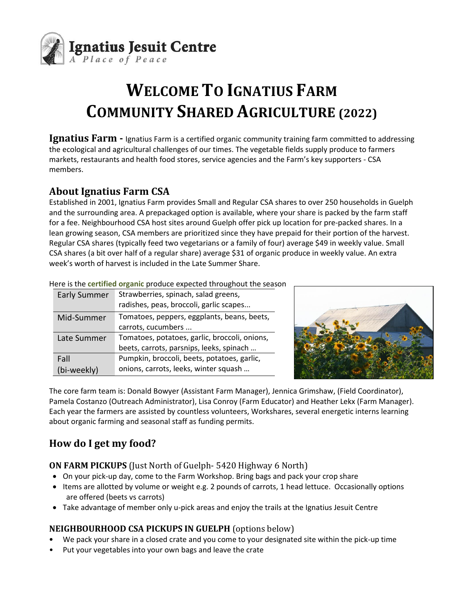

# **WELCOME TO IGNATIUS FARM COMMUNITY SHARED AGRICULTURE (2022)**

**Ignatius Farm -** Ignatius Farm is a certified organic community training farm committed to addressing the ecological and agricultural challenges of our times. The vegetable fields supply produce to farmers markets, restaurants and health food stores, service agencies and the Farm's key supporters - CSA members.

### **About Ignatius Farm CSA**

Established in 2001, Ignatius Farm provides Small and Regular CSA shares to over 250 households in Guelph and the surrounding area. A prepackaged option is available, where your share is packed by the farm staff for a fee. Neighbourhood CSA host sites around Guelph offer pick up location for pre-packed shares. In a lean growing season, CSA members are prioritized since they have prepaid for their portion of the harvest. Regular CSA shares (typically feed two vegetarians or a family of four) average \$49 in weekly value. Small CSA shares (a bit over half of a regular share) average \$31 of organic produce in weekly value. An extra week's worth of harvest is included in the Late Summer Share.

| <b>Early Summer</b> | Strawberries, spinach, salad greens,<br>radishes, peas, broccoli, garlic scapes |
|---------------------|---------------------------------------------------------------------------------|
| Mid-Summer          | Tomatoes, peppers, eggplants, beans, beets,                                     |
|                     | carrots, cucumbers                                                              |
| Late Summer         | Tomatoes, potatoes, garlic, broccoli, onions,                                   |
|                     | beets, carrots, parsnips, leeks, spinach                                        |
| Fall                | Pumpkin, broccoli, beets, potatoes, garlic,                                     |
| (bi-weekly)         | onions, carrots, leeks, winter squash                                           |

Here is the **certified organic** produce expected throughout the season



The core farm team is: Donald Bowyer (Assistant Farm Manager), Jennica Grimshaw, (Field Coordinator), Pamela Costanzo (Outreach Administrator), Lisa Conroy (Farm Educator) and Heather Lekx (Farm Manager). Each year the farmers are assisted by countless volunteers, Workshares, several energetic interns learning about organic farming and seasonal staff as funding permits.

## **How do I get my food?**

**ON FARM PICKUPS** (Just North of Guelph- 5420 Highway 6 North)

- On your pick-up day, come to the Farm Workshop. Bring bags and pack your crop share
- Items are allotted by volume or weight e.g. 2 pounds of carrots, 1 head lettuce. Occasionally options are offered (beets vs carrots)
- Take advantage of member only u-pick areas and enjoy the trails at the Ignatius Jesuit Centre

#### **NEIGHBOURHOOD CSA PICKUPS IN GUELPH** (options below)

- **•** We pack your share in a closed crate and you come to your designated site within the pick-up time
- Put your vegetables into your own bags and leave the crate